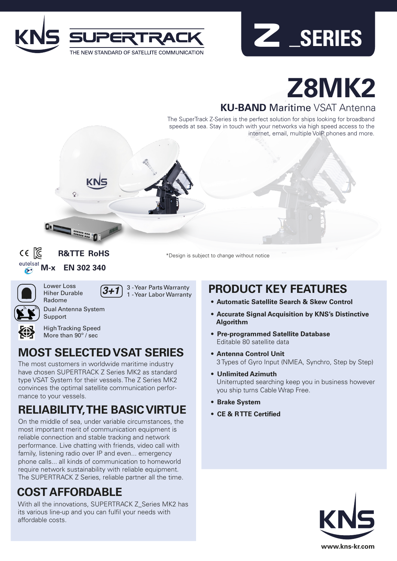



# **Z8MK2**

**KU-BAND** Maritime VSAT Antenna

The SuperTrack Z-Series is the perfect solution for ships looking for broadband speeds at sea. Stay in touch with your networks via high speed access to the internet, email, multiple VoIP phones and more.



**R&TTE RoHS EN 302 340** 

**SECOND DOG 1** 

\*Design is subject to change without notice



Support

Lower Loss Radome

Hiher Durable



Dual Antenna System



High Tracking Speed More than 90<sup>°</sup> / sec

# **MOST SELECTED VSAT SERIES**

*3+1* 3 - Year Parts Warranty 1 - Year Labor Warranty

The most customers in worldwide maritime industry have chosen SUPERTRACK Z Series MK2 as standard type VSAT System for their vessels. The Z Series MK2 convinces the optimal satellite communication performance to your vessels.

# **RELIABILITY, THE BASIC VIRTUE**

On the middle of sea, under variable circumstances, the most important merit of communication equipment is reliable connection and stable tracking and network performance. Live chatting with friends, video call with family, listening radio over IP and even... emergency phone calls... all kinds of communication to homeworld require network sustainability with reliable equipment. The SUPERTRACK Z Series, reliable partner all the time.

# **COST AFFORDABLE**

With all the innovations, SUPERTRACK Z\_Series MK2 has its various line-up and you can fulfil your needs with affordable costs.

# **PRODUCT KEY FEATURES**

- **• Automatic Satellite Search & Skew Control**
- **• Accurate Signal Acquisition by KNS's Distinctive Algorithm**
- **• Pre-programmed Satellite Database** Editable 80 satellite data
- **• Antenna Control Unit** 3 Types of Gyro Input (NMEA, Synchro, Step by Step)
- **• Unlimited Azimuth** Uniterrupted searching keep you in business however you ship turns Cable Wrap Free.
- **• Brake System**
- **• CE & R TTE Certified**